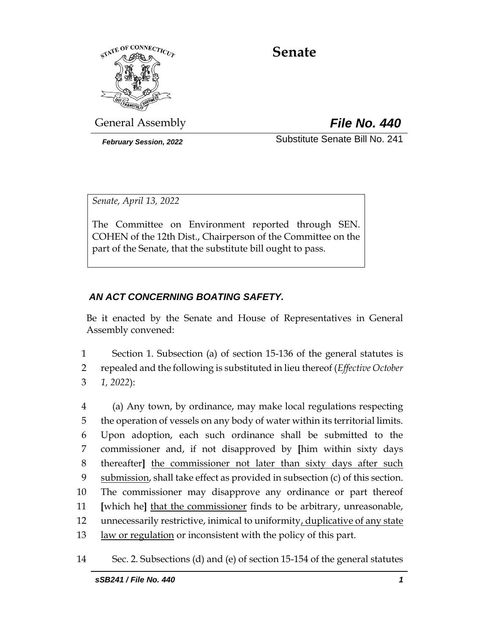

# **Senate**

General Assembly *File No. 440*

*February Session, 2022* Substitute Senate Bill No. 241

*Senate, April 13, 2022*

The Committee on Environment reported through SEN. COHEN of the 12th Dist., Chairperson of the Committee on the part of the Senate, that the substitute bill ought to pass.

# *AN ACT CONCERNING BOATING SAFETY.*

Be it enacted by the Senate and House of Representatives in General Assembly convened:

1 Section 1. Subsection (a) of section 15-136 of the general statutes is 2 repealed and the following is substituted in lieu thereof (*Effective October*  3 *1, 2022*):

 (a) Any town, by ordinance, may make local regulations respecting the operation of vessels on any body of water within its territorial limits. Upon adoption, each such ordinance shall be submitted to the commissioner and, if not disapproved by **[**him within sixty days thereafter**]** the commissioner not later than sixty days after such submission, shall take effect as provided in subsection (c) of this section. The commissioner may disapprove any ordinance or part thereof **[**which he**]** that the commissioner finds to be arbitrary, unreasonable, unnecessarily restrictive, inimical to uniformity, duplicative of any state 13 law or regulation or inconsistent with the policy of this part.

<sup>14</sup> Sec. 2. Subsections (d) and (e) of section 15-154 of the general statutes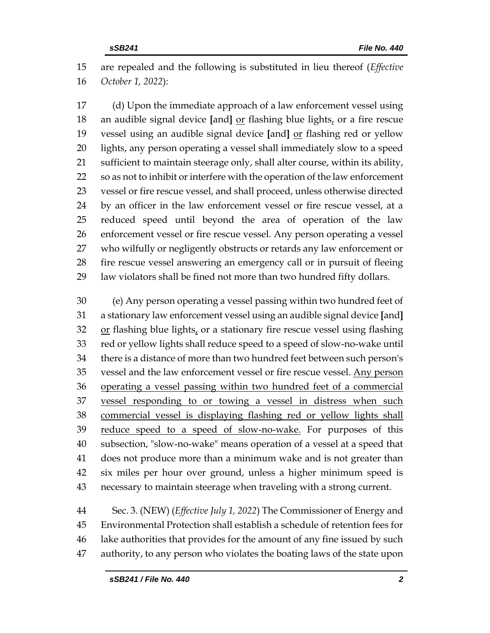are repealed and the following is substituted in lieu thereof (*Effective October 1, 2022*):

 (d) Upon the immediate approach of a law enforcement vessel using an audible signal device **[**and**]** or flashing blue lights, or a fire rescue vessel using an audible signal device **[**and**]** or flashing red or yellow lights, any person operating a vessel shall immediately slow to a speed sufficient to maintain steerage only, shall alter course, within its ability, so as not to inhibit or interfere with the operation of the law enforcement vessel or fire rescue vessel, and shall proceed, unless otherwise directed by an officer in the law enforcement vessel or fire rescue vessel, at a reduced speed until beyond the area of operation of the law enforcement vessel or fire rescue vessel. Any person operating a vessel who wilfully or negligently obstructs or retards any law enforcement or fire rescue vessel answering an emergency call or in pursuit of fleeing law violators shall be fined not more than two hundred fifty dollars.

 (e) Any person operating a vessel passing within two hundred feet of a stationary law enforcement vessel using an audible signal device **[**and**]** or flashing blue lights, or a stationary fire rescue vessel using flashing red or yellow lights shall reduce speed to a speed of slow-no-wake until there is a distance of more than two hundred feet between such person's vessel and the law enforcement vessel or fire rescue vessel. Any person operating a vessel passing within two hundred feet of a commercial 37 vessel responding to or towing a vessel in distress when such commercial vessel is displaying flashing red or yellow lights shall 39 reduce speed to a speed of slow-no-wake. For purposes of this subsection, "slow-no-wake" means operation of a vessel at a speed that does not produce more than a minimum wake and is not greater than six miles per hour over ground, unless a higher minimum speed is necessary to maintain steerage when traveling with a strong current.

 Sec. 3. (NEW) (*Effective July 1, 2022*) The Commissioner of Energy and Environmental Protection shall establish a schedule of retention fees for lake authorities that provides for the amount of any fine issued by such authority, to any person who violates the boating laws of the state upon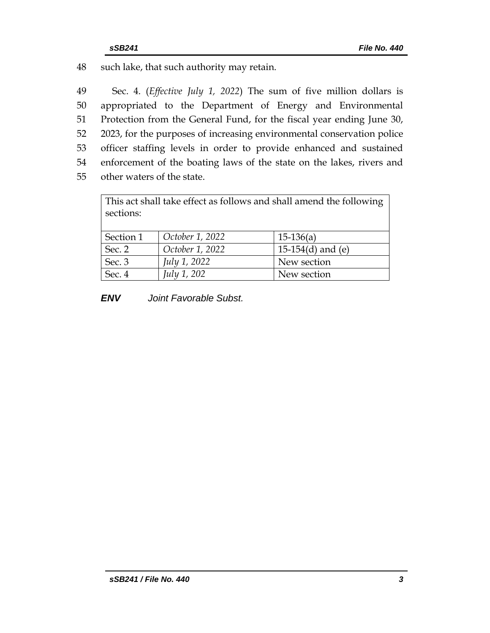48 such lake, that such authority may retain.

 Sec. 4. (*Effective July 1, 2022*) The sum of five million dollars is appropriated to the Department of Energy and Environmental Protection from the General Fund, for the fiscal year ending June 30, 2023, for the purposes of increasing environmental conservation police officer staffing levels in order to provide enhanced and sustained enforcement of the boating laws of the state on the lakes, rivers and other waters of the state.

| This act shall take effect as follows and shall amend the following<br>sections: |                     |                        |  |  |
|----------------------------------------------------------------------------------|---------------------|------------------------|--|--|
| Section 1                                                                        | October 1, 2022     | $15-136(a)$            |  |  |
| Sec. 2                                                                           | October 1, 2022     | 15-154 $(d)$ and $(e)$ |  |  |
| Sec. 3                                                                           | <i>July 1, 2022</i> | New section            |  |  |
| Sec. 4                                                                           | July 1, 202         | New section            |  |  |

*ENV Joint Favorable Subst.*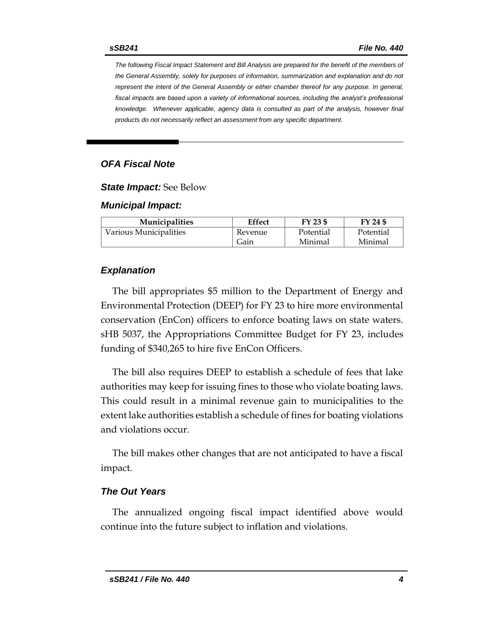*The following Fiscal Impact Statement and Bill Analysis are prepared for the benefit of the members of the General Assembly, solely for purposes of information, summarization and explanation and do not represent the intent of the General Assembly or either chamber thereof for any purpose. In general,*  fiscal impacts are based upon a variety of informational sources, including the analyst's professional *knowledge. Whenever applicable, agency data is consulted as part of the analysis, however final products do not necessarily reflect an assessment from any specific department.*

## *OFA Fiscal Note*

*State Impact:* See Below

#### *Municipal Impact:*

| <b>Municipalities</b>  | Effect  | FY 23 \$  | FY 24 \$  |
|------------------------|---------|-----------|-----------|
| Various Municipalities | Revenue | Potential | Potential |
|                        | Gain    | Minimal   | Minimal   |

#### *Explanation*

The bill appropriates \$5 million to the Department of Energy and Environmental Protection (DEEP) for FY 23 to hire more environmental conservation (EnCon) officers to enforce boating laws on state waters. sHB 5037, the Appropriations Committee Budget for FY 23, includes funding of \$340,265 to hire five EnCon Officers.

The bill also requires DEEP to establish a schedule of fees that lake authorities may keep for issuing fines to those who violate boating laws. This could result in a minimal revenue gain to municipalities to the extent lake authorities establish a schedule of fines for boating violations and violations occur.

The bill makes other changes that are not anticipated to have a fiscal impact.

#### *The Out Years*

The annualized ongoing fiscal impact identified above would continue into the future subject to inflation and violations.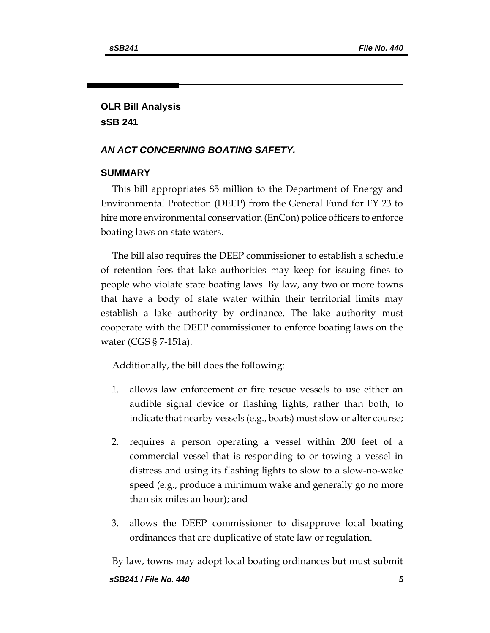# **OLR Bill Analysis sSB 241**

## *AN ACT CONCERNING BOATING SAFETY.*

## **SUMMARY**

This bill appropriates \$5 million to the Department of Energy and Environmental Protection (DEEP) from the General Fund for FY 23 to hire more environmental conservation (EnCon) police officers to enforce boating laws on state waters.

The bill also requires the DEEP commissioner to establish a schedule of retention fees that lake authorities may keep for issuing fines to people who violate state boating laws. By law, any two or more towns that have a body of state water within their territorial limits may establish a lake authority by ordinance. The lake authority must cooperate with the DEEP commissioner to enforce boating laws on the water (CGS § 7-151a).

Additionally, the bill does the following:

- 1. allows law enforcement or fire rescue vessels to use either an audible signal device or flashing lights, rather than both, to indicate that nearby vessels (e.g., boats) must slow or alter course;
- 2. requires a person operating a vessel within 200 feet of a commercial vessel that is responding to or towing a vessel in distress and using its flashing lights to slow to a slow-no-wake speed (e.g., produce a minimum wake and generally go no more than six miles an hour); and
- 3. allows the DEEP commissioner to disapprove local boating ordinances that are duplicative of state law or regulation.

By law, towns may adopt local boating ordinances but must submit